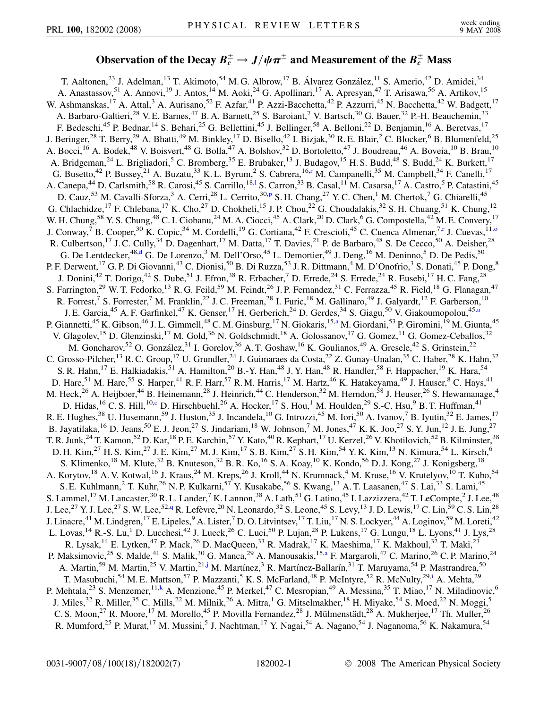## Observation of the Decay  $B_c^{\pm} \to J/\psi \pi^{\pm}$  and Measurement of the  $B_c^{\pm}$  Mass

<span id="page-0-9"></span><span id="page-0-8"></span><span id="page-0-7"></span><span id="page-0-6"></span><span id="page-0-5"></span><span id="page-0-4"></span><span id="page-0-3"></span><span id="page-0-2"></span><span id="page-0-1"></span><span id="page-0-0"></span>T. Aaltonen,<sup>23</sup> J. Adelman,<sup>13</sup> T. Akimoto,<sup>54</sup> M. G. Albrow,<sup>17</sup> B. Álvarez González,<sup>11</sup> S. Amerio,<sup>42</sup> D. Amidei,<sup>34</sup> A. Anastassov,<sup>51</sup> A. Annovi,<sup>19</sup> J. Antos,<sup>14</sup> M. Aoki,<sup>24</sup> G. Apollinari,<sup>17</sup> A. Apresyan,<sup>47</sup> T. Arisawa,<sup>56</sup> A. Artikov,<sup>15</sup> W. Ashmanskas,<sup>17</sup> A. Attal,<sup>3</sup> A. Aurisano,<sup>52</sup> F. Azfar,<sup>41</sup> P. Azzi-Bacchetta,<sup>42</sup> P. Azzurri,<sup>45</sup> N. Bacchetta,<sup>42</sup> W. Badgett,<sup>17</sup> A. Barbaro-Galtieri,<sup>28</sup> V. E. Barnes,<sup>47</sup> B. A. Barnett,<sup>25</sup> S. Baroiant,<sup>7</sup> V. Bartsch,<sup>30</sup> G. Bauer,<sup>32</sup> P.-H. Beauchemin,<sup>33</sup> F. Bedeschi,<sup>45</sup> P. Bednar,<sup>14</sup> S. Behari,<sup>25</sup> G. Bellettini,<sup>45</sup> J. Bellinger,<sup>58</sup> A. Belloni,<sup>22</sup> D. Benjamin,<sup>16</sup> A. Beretvas,<sup>17</sup> J. Beringer,<sup>28</sup> T. Berry,<sup>29</sup> A. Bhatti,<sup>49</sup> M. Binkley,<sup>17</sup> D. Bisello,<sup>42</sup> I. Bizjak,<sup>30</sup> R. E. Blair,<sup>2</sup> C. Blocker,<sup>6</sup> B. Blumenfeld,<sup>25</sup> A. Bocci,<sup>16</sup> A. Bodek,<sup>48</sup> V. Boisvert,<sup>48</sup> G. Bolla,<sup>47</sup> A. Bolshov,<sup>32</sup> D. Bortoletto,<sup>47</sup> J. Boudreau,<sup>46</sup> A. Boveia,<sup>10</sup> B. Brau,<sup>10</sup> A. Bridgeman,<sup>24</sup> L. Brigliadori,<sup>5</sup> C. Bromberg,<sup>35</sup> E. Brubaker,<sup>13</sup> J. Budagov,<sup>15</sup> H. S. Budd,<sup>48</sup> S. Budd,<sup>24</sup> K. Burkett,<sup>17</sup> G. Busetto,<sup>42</sup> P. Bussey,<sup>21</sup> A. Buzatu,<sup>33</sup> K. L. By[r](#page-6-0)um,<sup>2</sup> S. Cabrera,<sup>16,r</sup> M. Campanelli,<sup>35</sup> M. Campbell,<sup>34</sup> F. Canelli,<sup>17</sup> A. Canepa,<sup>44</sup> D. Car[l](#page-6-1)smith,<sup>58</sup> R. Carosi,<sup>45</sup> S. Carrillo,<sup>18,1</sup> S. Carron,<sup>33</sup> B. Casal,<sup>11</sup> M. Casarsa,<sup>17</sup> A. Castro,<sup>5</sup> P. Catastini,<sup>45</sup> D. Cauz,<sup>53</sup> M. Cavalli-Sforza,<sup>3</sup> A. Cerri,<sup>28</sup> L. Cerrito,<sup>30[,p](#page-6-2)</sup> S. H. Chang,<sup>27</sup> Y. C. Chen,<sup>1</sup> M. Chertok,<sup>7</sup> G. Chiarelli,<sup>45</sup> G. Chlachidze,<sup>17</sup> F. Chlebana,<sup>17</sup> K. Cho,<sup>27</sup> D. Chokheli,<sup>15</sup> J. P. Chou,<sup>22</sup> G. Choudalakis,<sup>32</sup> S. H. Chuang,<sup>51</sup> K. Chung,<sup>12</sup> W. H. Chung,<sup>58</sup> Y. S. Chung,<sup>48</sup> C. I. Ciobanu,<sup>24</sup> M. A. Ciocci,<sup>45</sup> A. Clark,<sup>20</sup> D. Clark,<sup>6</sup> G. Compostella,<sup>42</sup> M. E. Convery,<sup>17</sup> J. Conway,<sup>7</sup> B. Cooper,<sup>30</sup> K. Copic,<sup>34</sup> M. Cordelli,<sup>19</sup> G. Cortiana,<sup>42</sup> F. Crescioli,<sup>45</sup> C. Cuenca Almenar,<sup>7[,r](#page-6-0)</sup> J. Cuevas,<sup>11[,o](#page-6-3)</sup> R. Culbertson,<sup>17</sup> J. C. Cully,<sup>34</sup> D. Dagenhart,<sup>17</sup> M. Datta,<sup>17</sup> T. Davies,<sup>21</sup> P. de Barbaro,<sup>48</sup> S. De Cecco,<sup>50</sup> A. Deisher,<sup>28</sup> G. De Lentdecker,<sup>48[,d](#page-6-4)</sup> G. De Lorenzo,<sup>3</sup> M. Dell'Orso,<sup>45</sup> L. Demortier,<sup>49</sup> J. Deng,<sup>16</sup> M. Deninno,<sup>5</sup> D. De Pedis,<sup>50</sup> P. F. Derwent, <sup>17</sup> G. P. Di Giovanni, <sup>43</sup> C. Dionisi, <sup>50</sup> B. Di Ruzza, <sup>53</sup> J. R. Dittmann, <sup>4</sup> M. D'Onofrio, <sup>3</sup> S. Donati, <sup>45</sup> P. Dong, <sup>8</sup> J. Donini,<sup>42</sup> T. Dorigo,<sup>42</sup> S. Dube,<sup>51</sup> J. Efron,<sup>38</sup> R. Erbacher,<sup>7</sup> D. Errede,<sup>24</sup> S. Errede,<sup>24</sup> R. Eusebi,<sup>17</sup> H. C. Fang,<sup>28</sup> S. Farrington,<sup>29</sup> W. T. Fedorko,<sup>13</sup> R. G. Feild,<sup>59</sup> M. Feindt,<sup>26</sup> J. P. Fernandez,<sup>31</sup> C. Ferrazza,<sup>45</sup> R. Field,<sup>18</sup> G. Flanagan,<sup>47</sup> R. Forrest,<sup>7</sup> S. Forrester,<sup>7</sup> M. Franklin,<sup>22</sup> J. C. Freeman,<sup>28</sup> I. Furic,<sup>18</sup> M. Gallinaro,<sup>49</sup> J. Galyardt,<sup>12</sup> F. Garberson,<sup>10</sup> J. E. Garcia,<sup>45</sup> A. F. Garfinkel,<sup>47</sup> K. Genser,<sup>17</sup> H. Gerberich,<sup>24</sup> D. Gerdes,<sup>34</sup> S. Giagu,<sup>50</sup> V. Giakoumopolou,<sup>45[,a](#page-6-5)</sup> P. Gi[a](#page-6-5)nnetti,<sup>45</sup> K. Gibson,<sup>46</sup> J. L. Gimmell,<sup>48</sup> C. M. Ginsburg,<sup>17</sup> N. Giokaris,<sup>15,a</sup> M. Giordani,<sup>53</sup> P. Giromini,<sup>19</sup> M. Giunta,<sup>45</sup> V. Glagolev,<sup>15</sup> D. Glenzinski,<sup>17</sup> M. Gold,<sup>36</sup> N. Goldschmidt,<sup>18</sup> A. Golossanov,<sup>17</sup> G. Gomez,<sup>11</sup> G. Gomez-Ceballos,<sup>32</sup> M. Goncharov,<sup>52</sup> O. González,<sup>31</sup> I. Gorelov,<sup>36</sup> A. T. Goshaw,<sup>16</sup> K. Goulianos,<sup>49</sup> A. Gresele,<sup>42</sup> S. Grinstein,<sup>22</sup> C. Grosso-Pilcher,<sup>13</sup> R. C. Group,<sup>17</sup> U. Grundler,<sup>24</sup> J. Guimaraes da Costa,<sup>22</sup> Z. Gunay-Unalan,<sup>35</sup> C. Haber,<sup>28</sup> K. Hahn,<sup>32</sup> S. R. Hahn,<sup>17</sup> E. Halkiadakis,<sup>51</sup> A. Hamilton,<sup>20</sup> B.-Y. Han,<sup>48</sup> J. Y. Han,<sup>48</sup> R. Handler,<sup>58</sup> F. Happacher,<sup>19</sup> K. Hara,<sup>54</sup> D. Hare,<sup>51</sup> M. Hare,<sup>55</sup> S. Harper,<sup>41</sup> R. F. Harr,<sup>57</sup> R. M. Harris,<sup>17</sup> M. Hartz,<sup>46</sup> K. Hatakeyama,<sup>49</sup> J. Hauser,<sup>8</sup> C. Hays,<sup>41</sup> M. Heck,<sup>26</sup> A. Heijboer,<sup>44</sup> B. Heinemann,<sup>28</sup> J. Heinrich,<sup>44</sup> C. Henderson,<sup>32</sup> M. Herndon,<sup>58</sup> J. Heuser,<sup>26</sup> S. Hewamanage,<sup>4</sup> D. Hidas, <sup>16</sup> C. S. Hill, <sup>10,[c](#page-6-6)</sup> D. Hirschbuehl, <sup>26</sup> A. Hocker, <sup>17</sup> S. Hou, <sup>1</sup> M. Houlden, <sup>29</sup> S.-C. Hsu, <sup>9</sup> B. T. Huffman, <sup>41</sup> R. E. Hughes,<sup>38</sup> U. Husemann,<sup>59</sup> J. Huston,<sup>35</sup> J. Incandela,<sup>10</sup> G. Introzzi,<sup>45</sup> M. Iori,<sup>50</sup> A. Ivanov,<sup>7</sup> B. Iyutin,<sup>32</sup> E. James,<sup>17</sup> B. Jayatilaka, <sup>16</sup> D. Jeans, <sup>50</sup> E. J. Jeon, <sup>27</sup> S. Jindariani, <sup>18</sup> W. Johnson, <sup>7</sup> M. Jones, <sup>47</sup> K. K. Joo, <sup>27</sup> S. Y. Jun, <sup>12</sup> J. E. Jung, <sup>27</sup> T. R. Junk,<sup>24</sup> T. Kamon,<sup>52</sup> D. Kar,<sup>18</sup> P. E. Karchin,<sup>57</sup> Y. Kato,<sup>40</sup> R. Kephart,<sup>17</sup> U. Kerzel,<sup>26</sup> V. Khotilovich,<sup>52</sup> B. Kilminster,<sup>38</sup> D. H. Kim,<sup>27</sup> H. S. Kim,<sup>27</sup> J. E. Kim,<sup>27</sup> M. J. Kim,<sup>17</sup> S. B. Kim,<sup>27</sup> S. H. Kim,<sup>54</sup> Y. K. Kim,<sup>13</sup> N. Kimura,<sup>54</sup> L. Kirsch,<sup>6</sup> S. Klimenko,<sup>18</sup> M. Klute,<sup>32</sup> B. Knuteson,<sup>32</sup> B. R. Ko,<sup>16</sup> S. A. Koay,<sup>10</sup> K. Kondo,<sup>56</sup> D. J. Kong,<sup>27</sup> J. Konigsberg,<sup>18</sup> A. Korytov,<sup>18</sup> A. V. Kotwal,<sup>16</sup> J. Kraus,<sup>24</sup> M. Kreps,<sup>26</sup> J. Kroll,<sup>44</sup> N. Krumnack,<sup>4</sup> M. Kruse,<sup>16</sup> V. Krutelyov,<sup>10</sup> T. Kubo,<sup>54</sup> S. E. Kuhlmann,<sup>2</sup> T. Kuhr,<sup>26</sup> N. P. Kulkarni,<sup>57</sup> Y. Kusakabe,<sup>56</sup> S. Kwang,<sup>13</sup> A. T. Laasanen,<sup>47</sup> S. Lai,<sup>33</sup> S. Lami,<sup>45</sup> S. Lammel,<sup>17</sup> M. Lancaster,<sup>30</sup> R. L. Lander,<sup>7</sup> K. Lannon,<sup>38</sup> A. Lath,<sup>51</sup> G. Latino,<sup>45</sup> I. Lazzizzera,<sup>42</sup> T. LeCompte,<sup>2</sup> J. Lee,<sup>48</sup> J. Lee,<sup>27</sup> Y. J. Lee,<sup>27</sup> S. W. Lee,<sup>52,[q](#page-6-7)</sup> R. Lefèvre,<sup>20</sup> N. Leonardo,<sup>32</sup> S. Leone,<sup>45</sup> S. Levy,<sup>13</sup> J. D. Lewis,<sup>17</sup> C. Lin,<sup>59</sup> C. S. Lin,<sup>28</sup> J. Linacre,<sup>41</sup> M. Lindgren,<sup>17</sup> E. Lipeles,<sup>9</sup> A. Lister,<sup>7</sup> D. O. Litvintsev,<sup>17</sup> T. Liu,<sup>17</sup> N. S. Lockyer,<sup>44</sup> A. Loginov,<sup>59</sup> M. Loreti,<sup>42</sup> L. Lovas, <sup>14</sup> R.-S. Lu, <sup>1</sup> D. Lucchesi, <sup>42</sup> J. Lueck, <sup>26</sup> C. Luci, <sup>50</sup> P. Lujan, <sup>28</sup> P. Lukens, <sup>17</sup> G. Lungu, <sup>18</sup> L. Lyons, <sup>41</sup> J. Lys, <sup>28</sup> R. Lysak,<sup>14</sup> E. Lytken,<sup>47</sup> P. Mack,<sup>26</sup> D. MacQueen,<sup>33</sup> R. Madrak,<sup>17</sup> K. Maeshima,<sup>17</sup> K. Makhoul,<sup>32</sup> T. Maki,<sup>23</sup> P. M[a](#page-6-5)ksimovic,<sup>25</sup> S. Malde,<sup>41</sup> S. Malik,<sup>30</sup> G. Manca,<sup>29</sup> A. Manousakis,<sup>15,a</sup> F. Margaroli,<sup>47</sup> C. Marino,<sup>26</sup> C. P. Marino,<sup>24</sup> A. Martin,<sup>59</sup> M. Martin,<sup>25</sup> V. Martin,<sup>21,[j](#page-6-8)</sup> M. Martínez,<sup>3</sup> R. Martínez-Ballarín,<sup>31</sup> T. Maruyama,<sup>54</sup> P. Mastrandrea,<sup>50</sup> T. Masubuchi,<sup>54</sup> M. E. Mattson,<sup>57</sup> P. Mazzanti,<sup>5</sup> K. S. McFarland,<sup>48</sup> P. McIntyre,<sup>52</sup> R. McNulty,<sup>29[,i](#page-6-9)</sup> A. Mehta,<sup>29</sup> P. Mehtala,<sup>23</sup> S. Menzemer,<sup>11[,k](#page-6-10)</sup> A. Menzione,<sup>45</sup> P. Merkel,<sup>47</sup> C. Mesropian,<sup>49</sup> A. Messina,<sup>35</sup> T. Miao,<sup>17</sup> N. Miladinovic,<sup>6</sup> J. Miles,<sup>32</sup> R. Miller,<sup>35</sup> C. Mills,<sup>22</sup> M. Milnik,<sup>26</sup> A. Mitra,<sup>1</sup> G. Mitselmakher,<sup>18</sup> H. Miyake,<sup>54</sup> S. Moed,<sup>22</sup> N. Moggi,<sup>5</sup> C. S. Moon,<sup>27</sup> R. Moore,<sup>17</sup> M. Morello,<sup>45</sup> P. Movilla Fernandez,<sup>28</sup> J. Mülmenstädt,<sup>28</sup> A. Mukherjee,<sup>17</sup> Th. Muller,<sup>26</sup> R. Mumford,<sup>25</sup> P. Murat,<sup>17</sup> M. Mussini,<sup>5</sup> J. Nachtman,<sup>17</sup> Y. Nagai,<sup>54</sup> A. Nagano,<sup>54</sup> J. Naganoma,<sup>56</sup> K. Nakamura,<sup>54</sup>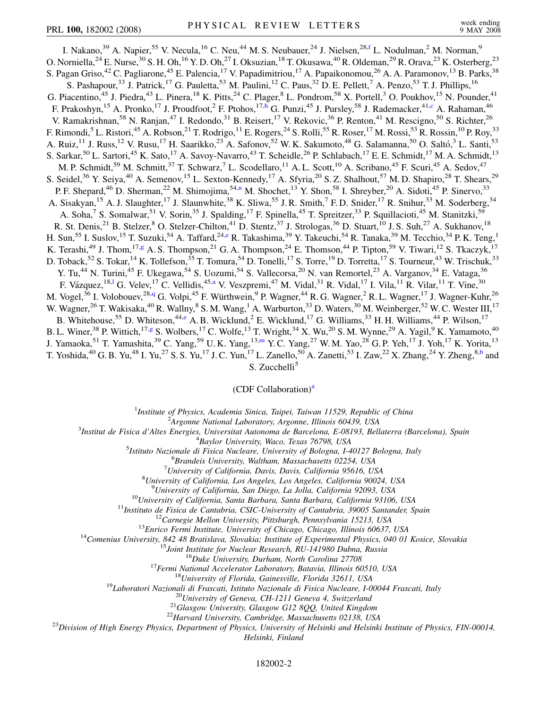<span id="page-1-6"></span><span id="page-1-4"></span><span id="page-1-2"></span>I. Nakano,<sup>39</sup> A. Napier,<sup>55</sup> V. Necula,<sup>16</sup> C. Neu,<sup>44</sup> M. S. Neubauer,<sup>24</sup> J. Nielsen,<sup>28,[f](#page-6-11)</sup> L. Nodulman,<sup>2</sup> M. Norman,<sup>9</sup> O. Norniella,<sup>24</sup> E. Nurse,<sup>30</sup> S. H. Oh,<sup>16</sup> Y. D. Oh,<sup>27</sup> I. Oksuzian,<sup>18</sup> T. Okusawa,<sup>40</sup> R. Oldeman,<sup>29</sup> R. Orava,<sup>23</sup> K. Osterberg,<sup>23</sup> S. Pagan Griso,<sup>42</sup> C. Pagliarone,<sup>45</sup> E. Palencia,<sup>17</sup> V. Papadimitriou,<sup>17</sup> A. Papaikonomou,<sup>26</sup> A. A. Paramonov,<sup>13</sup> B. Parks,<sup>38</sup> S. Pashapour,<sup>33</sup> J. Patrick,<sup>17</sup> G. Pauletta,<sup>53</sup> M. Paulini,<sup>12</sup> C. Paus,<sup>32</sup> D. E. Pellett,<sup>7</sup> A. Penzo,<sup>53</sup> T. J. Phillips,<sup>16</sup> G. Piacentino,<sup>45</sup> J. Piedra,<sup>43</sup> L. Pinera,<sup>18</sup> K. Pitts,<sup>24</sup> C. Plager,<sup>8</sup> L. Pondrom,<sup>58</sup> X. Portell,<sup>3</sup> O. Poukhov,<sup>15</sup> N. Pounder,<sup>41</sup> F. Prakos[h](#page-6-12)yn,<sup>15</sup> A. Pronko,<sup>17</sup> J. Proudfoot,<sup>2</sup> F. Ptohos,<sup>17,h</sup> G. Punzi,<sup>45</sup> J. Pursley,<sup>58</sup> J. Rademacker,<sup>41[,c](#page-6-6)</sup> A. Rahaman,<sup>46</sup> V. Ramakrishnan,<sup>58</sup> N. Ranjan,<sup>47</sup> I. Redondo,<sup>31</sup> B. Reisert,<sup>17</sup> V. Rekovic,<sup>36</sup> P. Renton,<sup>41</sup> M. Rescigno,<sup>50</sup> S. Richter,<sup>26</sup> F. Rimondi,<sup>5</sup> L. Ristori,<sup>45</sup> A. Robson,<sup>21</sup> T. Rodrigo,<sup>11</sup> E. Rogers,<sup>24</sup> S. Rolli,<sup>55</sup> R. Roser,<sup>17</sup> M. Rossi,<sup>53</sup> R. Rossin,<sup>10</sup> P. Roy,<sup>33</sup> A. Ruiz,<sup>11</sup> J. Russ,<sup>12</sup> V. Rusu,<sup>17</sup> H. Saarikko,<sup>23</sup> A. Safonov,<sup>52</sup> W. K. Sakumoto,<sup>48</sup> G. Salamanna,<sup>50</sup> O. Saltó,<sup>3</sup> L. Santi,<sup>53</sup> S. Sarkar,<sup>50</sup> L. Sartori,<sup>45</sup> K. Sato,<sup>17</sup> A. Savoy-Navarro,<sup>43</sup> T. Scheidle,<sup>26</sup> P. Schlabach,<sup>17</sup> E. E. Schmidt,<sup>17</sup> M. A. Schmidt,<sup>13</sup> M. P. Schmidt,<sup>59</sup> M. Schmitt,<sup>37</sup> T. Schwarz,<sup>7</sup> L. Scodellaro,<sup>11</sup> A. L. Scott,<sup>10</sup> A. Scribano,<sup>45</sup> F. Scuri,<sup>45</sup> A. Sedov,<sup>47</sup> S. Seidel,<sup>36</sup> Y. Seiya,<sup>40</sup> A. Semenov,<sup>15</sup> L. Sexton-Kennedy,<sup>17</sup> A. Sfyria,<sup>20</sup> S. Z. Shalhout,<sup>57</sup> M. D. Shapiro,<sup>28</sup> T. Shears,<sup>29</sup> P. F. Shepard,<sup>46</sup> D. Sherman,<sup>22</sup> M. Shimojima,<sup>54[,n](#page-6-13)</sup> M. Shochet,<sup>13</sup> Y. Shon,<sup>58</sup> I. Shreyber,<sup>20</sup> A. Sidoti,<sup>45</sup> P. Sinervo,<sup>33</sup> A. Sisakyan,<sup>15</sup> A. J. Slaughter,<sup>17</sup> J. Slaunwhite,<sup>38</sup> K. Sliwa,<sup>55</sup> J. R. Smith,<sup>7</sup> F. D. Snider,<sup>17</sup> R. Snihur,<sup>33</sup> M. Soderberg,<sup>34</sup> A. Soha,<sup>7</sup> S. Somalwar,<sup>51</sup> V. Sorin,<sup>35</sup> J. Spalding,<sup>17</sup> F. Spinella,<sup>45</sup> T. Spreitzer,<sup>33</sup> P. Squillacioti,<sup>45</sup> M. Stanitzki,<sup>59</sup> R. St. Denis,<sup>21</sup> B. Stelzer,<sup>8</sup> O. Stelzer-Chilton,<sup>41</sup> D. Stentz,<sup>37</sup> J. Strologas,<sup>36</sup> D. Stuart,<sup>10</sup> J. S. Suh,<sup>27</sup> A. Sukhanov,<sup>18</sup> H. Sun,<sup>55</sup> I. Suslov,<sup>15</sup> T. Suzuki,<sup>54</sup> A. Taffard,<sup>24[,e](#page-6-14)</sup> R. Takashima,<sup>39</sup> Y. Takeuchi,<sup>54</sup> R. Tanaka,<sup>39</sup> M. Tecchio,<sup>34</sup> P. K. Teng,<sup>1</sup> K. Terashi,<sup>49</sup> J. Thom,<sup>17[,g](#page-6-15)</sup> A. S. Thompson,<sup>21</sup> G. A. Thompson,<sup>24</sup> E. Thomson,<sup>44</sup> P. Tipton,<sup>59</sup> V. Tiwari,<sup>12</sup> S. Tkaczyk,<sup>17</sup> D. Toback,<sup>52</sup> S. Tokar,<sup>14</sup> K. Tollefson,<sup>35</sup> T. Tomura,<sup>54</sup> D. Tonelli,<sup>17</sup> S. Torre,<sup>19</sup> D. Torretta,<sup>17</sup> S. Tourneur,<sup>43</sup> W. Trischuk,<sup>33</sup> Y. Tu,<sup>44</sup> N. Turini,<sup>45</sup> F. Ukegawa,<sup>54</sup> S. Uozumi,<sup>54</sup> S. Vallecorsa,<sup>20</sup> N. van Remortel,<sup>23</sup> A. Varganov,<sup>34</sup> E. Vataga,<sup>36</sup> F. Vázquez, <sup>18,1</sup> G. Velev, <sup>17</sup> C. Vellidis, <sup>45[,a](#page-6-5)</sup> V. Veszpremi, <sup>47</sup> M. Vidal, <sup>31</sup> R. Vidal, <sup>17</sup> I. Vila, <sup>11</sup> R. Vilar, <sup>11</sup> T. Vine, <sup>30</sup> M. Vogel,<sup>36</sup> I. Volobouev,<sup>28,[q](#page-6-7)</sup> G. Volpi,<sup>45</sup> F. Würthwein,<sup>9</sup> P. Wagner,<sup>44</sup> R. G. Wagner,<sup>2</sup> R. L. Wagner,<sup>17</sup> J. Wagner-Kuhr,<sup>26</sup> W. Wagner,<sup>26</sup> T. Wakisaka,<sup>40</sup> R. Wallny,<sup>8</sup> S. M. Wang,<sup>1</sup> A. Warburton,<sup>33</sup> D. Waters,<sup>30</sup> M. Weinberger,<sup>52</sup> W. C. Wester III,<sup>17</sup> B. Whitehouse,<sup>55</sup> D. Whiteson,<sup>44[,e](#page-6-14)</sup> A. B. Wicklund,<sup>2</sup> E. Wicklund,<sup>17</sup> G. Williams,<sup>33</sup> H. H. Williams,<sup>44</sup> P. Wilson,<sup>17</sup> B. L. Winer,<sup>38</sup> P. Wittich,<sup>17[,g](#page-6-15)</sup> S. Wolbers,<sup>17</sup> C. Wolfe,<sup>13</sup> T. Wright,<sup>34</sup> X. Wu,<sup>20</sup> S. M. Wynne,<sup>29</sup> A. Yagil,<sup>9</sup> K. Yamamoto,<sup>40</sup> J. Ya[m](#page-6-16)aoka,<sup>51</sup> T. Yamashita,<sup>39</sup> C. Yang,<sup>59</sup> U.K. Yang,<sup>13,m</sup> Y.C. Yang,<sup>27</sup> W.M. Yao,<sup>28</sup> G.P. Yeh,<sup>17</sup> J. Yoh,<sup>17</sup> K. Yorita,<sup>13</sup> T. Yoshida,<sup>40</sup> G. B. Yu,<sup>48</sup> I. Yu,<sup>27</sup> S. S. Yu,<sup>17</sup> J. C. Yun,<sup>17</sup> L. Zanello,<sup>50</sup> A. Zanetti,<sup>53</sup> I. Zaw,<sup>22</sup> X. Zhang,<sup>24</sup> Y. Zheng,<sup>8[,b](#page-6-17)</sup> and

S. Zucchelli<sup>5</sup>

## $(CDF$  Coll[a](#page-6-5)boration)<sup>a</sup>

<sup>1</sup>*Institute of Physics, Academia Sinica, Taipei, Taiwan 11529, Republic of China*<br><sup>2</sup><sup>4</sup> *League Mational Laboratory, Argonna Illinois 60430, USA* 

*Argonne National Laboratory, Argonne, Illinois 60439, USA* <sup>3</sup>

<span id="page-1-5"></span><span id="page-1-3"></span><span id="page-1-1"></span><span id="page-1-0"></span>*Institut de Fisica d'Altes Energies, Universitat Autonoma de Barcelona, E-08193, Bellaterra (Barcelona), Spain* <sup>4</sup>

<sup>4</sup>Baylor University, Waco, Texas 76798, USA<br><sup>5</sup> Istitute Nazionale di Fisica Nucleare, University of Bologna, La

*Istituto Nazionale di Fisica Nucleare, University of Bologna, I-40127 Bologna, Italy* <sup>6</sup>

*Brandeis University, Waltham, Massachusetts 02254, USA* <sup>7</sup>

*University of California, Davis, Davis, California 95616, USA* <sup>8</sup>

*University of California, Los Angeles, Los Angeles, California 90024, USA* <sup>9</sup>

<sup>10</sup>University of California, San Diego, La Jolla, California 92093, USA<br><sup>10</sup>University of California, Santa Barbara, Santa Barbara, California 93106, USA<br><sup>11</sup>Instituto de Fisica de Cantabria, CSIC-University of Cantabria *Helsinki, Finland*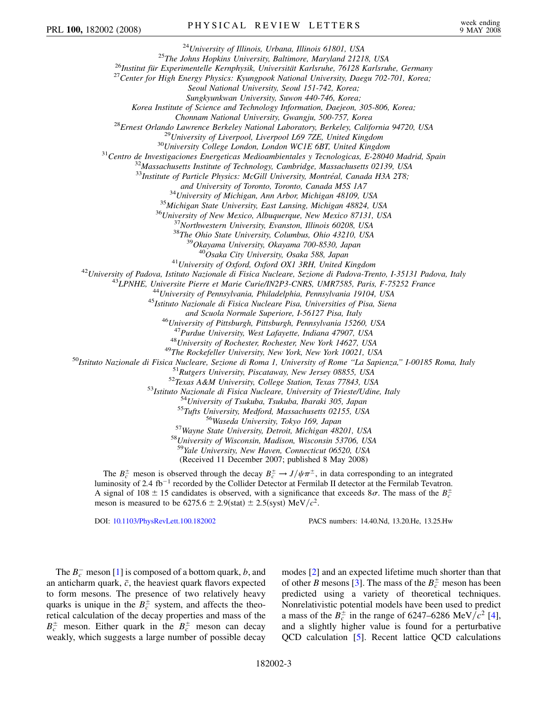<sup>24</sup>University of Illinois, Urbana, Illinois 61801, USA<br><sup>25</sup>The Johns Hopkins University, Baltimore, Maryland 21218, USA<br><sup>26</sup>Institut für Experimentelle Kernphysik, Universität Karlsruhe, 76128 Karlsruhe, Germany<br><sup>27</sup>Cent *Seoul National University, Seoul 151-742, Korea; Sungkyunkwan University, Suwon 440-746, Korea; Korea Institute of Science and Technology Information, Daejeon, 305-806, Korea;* Chonnam National University, Gwangju, 500-757, Korea<br><sup>28</sup>Ernest Orlando Lawrence Berkeley National Laboratory, Berkeley, California 94720, USA<br><sup>29</sup>University of Liverpool, Liverpool L69 7ZE, United Kingdom<br><sup>30</sup>University <sup>33</sup>Institute of Particle Physics: McGill University, Montréal, Canada H3A 2T8; and University of Toronto, Toronto, Canada M5S 1A7<br><sup>34</sup>University of Michigan, Ann Arbor, Michigan 48109, USA<br><sup>35</sup>Michigan State University, East Lansing, Michigan 48824, USA<br><sup>36</sup>University of New Mexico, Albuquerque, New <sup>41</sup>University of Oxford, Oxford OX1 3RH, United Kingdom<br><sup>42</sup>University of Padova, Istituto Nazionale di Fisica Nucleare, Sezione di Padova-Trento, I-35131 Padova, Italy<br><sup>43</sup>LPNHE, Universite Pierre et Marie Curie/IN2P3-C *and Scuola Normale Superiore, I-56127 Pisa, Italy* <sup>46</sup>*University of Pittsburgh, Pittsburgh, Pennsylvania 15260, USA* <sup>47</sup>Purdue University, West Lafayette, Indiana 47907, USA<br><sup>48</sup>University of Rochester, Rochester, New York 14627, USA<br><sup>48</sup>University of Rochester, Rochester, New York 14627, USA<br><sup>50</sup>Ustituto Nazionale di Fisica Nucleare, <sup>59</sup>*Yale University, New Haven, Connecticut 06520, USA* (Received 11 December 2007; published 8 May 2008)

The  $B_c^{\pm}$  meson is observed through the decay  $B_c^{\pm} \to J/\psi \pi^{\pm}$ , in data corresponding to an integrated luminosity of 2.4 fb<sup>-1</sup> recorded by the Collider Detector at Fermilab II detector at the Fermilab Tevatron. A signal of 108  $\pm$  15 candidates is observed, with a significance that exceeds 8 $\sigma$ . The mass of the  $B_c^{\pm}$ meson is measured to be  $6275.6 \pm 2.9$ (stat)  $\pm 2.5$ (syst) MeV/ $c^2$ .

DOI: [10.1103/PhysRevLett.100.182002](http://dx.doi.org/10.1103/PhysRevLett.100.182002) PACS numbers: 14.40.Nd, 13.20.He, 13.25.Hw

The  $B_c^-$  meson [\[1](#page-6-18)] is composed of a bottom quark, *b*, and an anticharm quark,  $\bar{c}$ , the heaviest quark flavors expected to form mesons. The presence of two relatively heavy quarks is unique in the  $B_c^{\pm}$  system, and affects the theoretical calculation of the decay properties and mass of the  $B_c^{\pm}$  meson. Either quark in the  $B_c^{\pm}$  meson can decay weakly, which suggests a large number of possible decay modes [\[2\]](#page-6-19) and an expected lifetime much shorter than that of other *B* mesons [\[3\]](#page-6-20). The mass of the  $B_c^{\pm}$  meson has been predicted using a variety of theoretical techniques. Nonrelativistic potential models have been used to predict a mass of the  $B_c^{\pm}$  in the range of 6247–6286 MeV/ $c^2$  [[4\]](#page-6-21), and a slightly higher value is found for a perturbative QCD calculation [\[5](#page-6-22)]. Recent lattice QCD calculations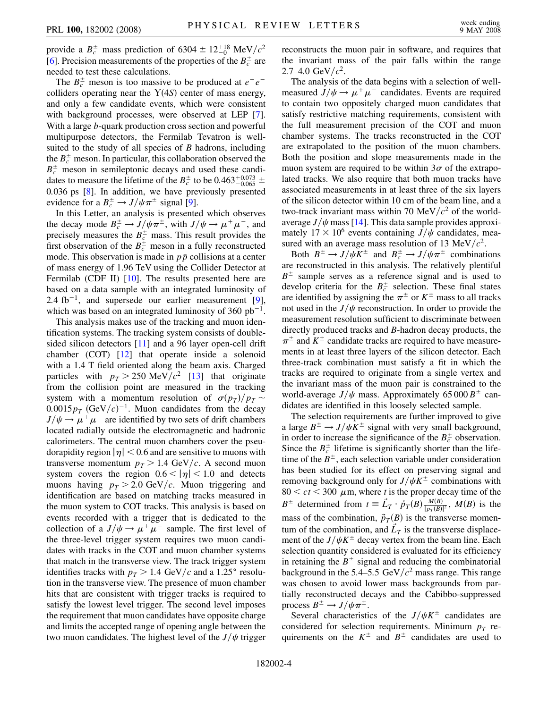provide a  $B_c^{\pm}$  mass prediction of 6304  $\pm$  12<sup>+18</sup> MeV/ $c^2$ [\[6\]](#page-6-23). Precision measurements of the properties of the  $B_c^{\pm}$  are needed to test these calculations.

The  $B_c^{\pm}$  meson is too massive to be produced at  $e^+e^$ colliders operating near the  $Y(4S)$  center of mass energy, and only a few candidate events, which were consistent with background processes, were observed at LEP [[7\]](#page-6-24). With a large *b*-quark production cross section and powerful multipurpose detectors, the Fermilab Tevatron is wellsuited to the study of all species of *B* hadrons, including the  $B_c^{\pm}$  meson. In particular, this collaboration observed the  $B_c^{\pm}$  meson in semileptonic decays and used these candidates to measure the lifetime of the  $B_c^{\pm}$  to be 0.463<sup>+0.073</sup>  $\pm$ 0*:*036 ps [\[8\]](#page-6-25). In addition, we have previously presented evidence for a  $B_c^{\pm} \rightarrow J/\psi \pi^{\pm}$  signal [[9\]](#page-6-26).

In this Letter, an analysis is presented which observes the decay mode  $B_c^{\pm} \to J/\psi \pi^{\pm}$ , with  $J/\psi \to \mu^+ \mu^-$ , and precisely measures the  $B_c^{\pm}$  mass. This result provides the first observation of the  $B_c^{\pm}$  meson in a fully reconstructed mode. This observation is made in  $p\bar{p}$  collisions at a center of mass energy of 1.96 TeV using the Collider Detector at Fermilab (CDF II) [[10](#page-6-27)]. The results presented here are based on a data sample with an integrated luminosity of 2.4 fb<sup> $-1$ </sup>, and supersede our earlier measurement [[9\]](#page-6-26), which was based on an integrated luminosity of 360  $pb^{-1}$ .

This analysis makes use of the tracking and muon identification systems. The tracking system consists of doublesided silicon detectors [[11](#page-6-28)] and a 96 layer open-cell drift chamber (COT) [[12](#page-6-29)] that operate inside a solenoid with a 1.4 T field oriented along the beam axis. Charged particles with  $p_T > 250 \text{ MeV}/c^2$  [[13](#page-6-30)] that originate from the collision point are measured in the tracking system with a momentum resolution of  $\sigma(p_T)/p_T \sim$  $0.0015p_T$  (GeV/c)<sup>-1</sup>. Muon candidates from the decay  $J/\psi \rightarrow \mu^+ \mu^-$  are identified by two sets of drift chambers located radially outside the electromagnetic and hadronic calorimeters. The central muon chambers cover the pseudorapidity region  $|\eta|$  < 0.6 and are sensitive to muons with transverse momentum  $p_T > 1.4 \text{ GeV}/c$ . A second muon system covers the region  $0.6 < |\eta| < 1.0$  and detects muons having  $p_T > 2.0$  GeV/c. Muon triggering and identification are based on matching tracks measured in the muon system to COT tracks. This analysis is based on events recorded with a trigger that is dedicated to the collection of a  $J/\psi \rightarrow \mu^+ \mu^-$  sample. The first level of the three-level trigger system requires two muon candidates with tracks in the COT and muon chamber systems that match in the transverse view. The track trigger system identifies tracks with  $p<sub>T</sub> > 1.4 \text{ GeV}/c$  and a 1.25° resolution in the transverse view. The presence of muon chamber hits that are consistent with trigger tracks is required to satisfy the lowest level trigger. The second level imposes the requirement that muon candidates have opposite charge and limits the accepted range of opening angle between the two muon candidates. The highest level of the  $J/\psi$  trigger reconstructs the muon pair in software, and requires that the invariant mass of the pair falls within the range  $2.7-4.0 \text{ GeV}/c^2$ .

The analysis of the data begins with a selection of wellmeasured  $J/\psi \rightarrow \mu^+ \mu^-$  candidates. Events are required to contain two oppositely charged muon candidates that satisfy restrictive matching requirements, consistent with the full measurement precision of the COT and muon chamber systems. The tracks reconstructed in the COT are extrapolated to the position of the muon chambers. Both the position and slope measurements made in the muon system are required to be within  $3\sigma$  of the extrapolated tracks. We also require that both muon tracks have associated measurements in at least three of the six layers of the silicon detector within 10 cm of the beam line, and a two-track invariant mass within 70 MeV/ $c<sup>2</sup>$  of the worldaverage  $J/\psi$  mass [[14](#page-6-31)]. This data sample provides approximately  $17 \times 10^6$  events containing  $J/\psi$  candidates, measured with an average mass resolution of 13 MeV $/c^2$ .

Both  $B^{\pm} \to J/\psi K^{\pm}$  and  $B_c^{\pm} \to J/\psi \pi^{\pm}$  combinations are reconstructed in this analysis. The relatively plentiful  $B^{\pm}$  sample serves as a reference signal and is used to develop criteria for the  $B_c^{\pm}$  selection. These final states are identified by assigning the  $\pi^{\pm}$  or  $K^{\pm}$  mass to all tracks not used in the  $J/\psi$  reconstruction. In order to provide the measurement resolution sufficient to discriminate between directly produced tracks and *B*-hadron decay products, the  $\pi^{\pm}$  and  $K^{\pm}$  candidate tracks are required to have measurements in at least three layers of the silicon detector. Each three-track combination must satisfy a fit in which the tracks are required to originate from a single vertex and the invariant mass of the muon pair is constrained to the world-average  $J/\psi$  mass. Approximately 65 000  $B^{\pm}$  candidates are identified in this loosely selected sample.

The selection requirements are further improved to give a large  $B^{\pm} \rightarrow J/\psi K^{\pm}$  signal with very small background, in order to increase the significance of the  $B_c^{\pm}$  observation. Since the  $B_c^{\pm}$  lifetime is significantly shorter than the lifetime of the  $B^{\pm}$ , each selection variable under consideration has been studied for its effect on preserving signal and removing background only for  $J/\psi K^{\pm}$  combinations with  $80 < ct < 300 \mu$ m, where *t* is the proper decay time of the *B*<sup> $\pm$ </sup> determined from  $t \equiv \vec{L}_T \cdot \vec{p}_T(B) \frac{M(B)}{|p_T(B)|^2}$ ,  $M(B)$  is the mass of the combination,  $\vec{p}_T(B)$  is the transverse momentum of the combination, and  $\vec{L}_T$  is the transverse displacement of the  $J/\psi K^{\pm}$  decay vertex from the beam line. Each selection quantity considered is evaluated for its efficiency in retaining the  $B^{\pm}$  signal and reducing the combinatorial background in the 5.4–5.5 GeV/ $c<sup>2</sup>$  mass range. This range was chosen to avoid lower mass backgrounds from partially reconstructed decays and the Cabibbo-suppressed process  $B^{\pm} \to J/\psi \pi^{\pm}$ .

Several characteristics of the  $J/\psi K^{\pm}$  candidates are considered for selection requirements. Minimum  $p_T$  requirements on the  $K^{\pm}$  and  $B^{\pm}$  candidates are used to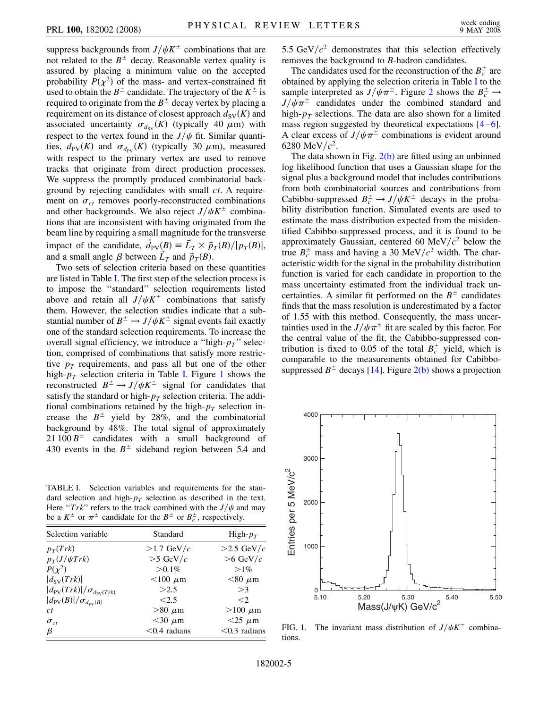suppress backgrounds from  $J/\psi K^{\pm}$  combinations that are not related to the  $B^{\pm}$  decay. Reasonable vertex quality is assured by placing a minimum value on the accepted probability  $P(\chi^2)$  of the mass- and vertex-constrained fit used to obtain the  $B^{\pm}$  candidate. The trajectory of the  $K^{\pm}$  is required to originate from the  $B^{\pm}$  decay vertex by placing a requirement on its distance of closest approach  $d_{SV}(K)$  and associated uncertainty  $\sigma_{dsv}(K)$  (typically 40  $\mu$ m) with respect to the vertex found in the  $J/\psi$  fit. Similar quantities,  $d_{PV}(K)$  and  $\sigma_{d_{PV}}(K)$  (typically 30  $\mu$ m), measured with respect to the primary vertex are used to remove tracks that originate from direct production processes. We suppress the promptly produced combinatorial background by rejecting candidates with small *ct*. A requirement on  $\sigma_{ct}$  removes poorly-reconstructed combinations and other backgrounds. We also reject  $J/\psi K^{\pm}$  combinations that are inconsistent with having originated from the beam line by requiring a small magnitude for the transverse impact of the candidate,  $\vec{d}_{PV}(B) = \vec{L}_T \times \vec{p}_T(B)/|p_T(B)|$ , and a small angle  $\beta$  between  $\vec{L}_T$  and  $\vec{p}_T(B)$ .

Two sets of selection criteria based on these quantities are listed in Table [I.](#page-4-0) The first step of the selection process is to impose the ''standard'' selection requirements listed above and retain all  $J/\psi K^{\pm}$  combinations that satisfy them. However, the selection studies indicate that a substantial number of  $B^{\pm} \rightarrow J/\psi K^{\pm}$  signal events fail exactly one of the standard selection requirements. To increase the overall signal efficiency, we introduce a ''high-*pT*'' selection, comprised of combinations that satisfy more restrictive  $p_T$  requirements, and pass all but one of the other high- $p_T$  selection criteria in Table [I](#page-4-0). Figure [1](#page-4-1) shows the reconstructed  $B^{\pm} \rightarrow J/\psi K^{\pm}$  signal for candidates that satisfy the standard or high- $p_T$  selection criteria. The additional combinations retained by the high- $p_T$  selection increase the  $B^{\pm}$  yield by 28%, and the combinatorial background by 48%. The total signal of approximately  $21 100 B^{\pm}$  candidates with a small background of 430 events in the  $B^{\pm}$  sideband region between 5.4 and

<span id="page-4-0"></span>TABLE I. Selection variables and requirements for the standard selection and high- $p<sub>T</sub>$  selection as described in the text. Here " $Trk$ " refers to the track combined with the  $J/\psi$  and may be a  $K^{\pm}$  or  $\pi^{\pm}$  candidate for the  $B^{\pm}$  or  $B_c^{\pm}$ , respectively.

| Selection variable                                       | Standard        | High- $p_T$     |
|----------------------------------------------------------|-----------------|-----------------|
| $p_T(Trk)$                                               | $>1.7$ GeV/ $c$ | $>2.5$ GeV/c    |
| $p_T(J/\psi Trk)$                                        | $>5$ GeV/ $c$   | $>6$ GeV/ $c$   |
| $P(\chi^2)$                                              | $> 0.1\%$       | $>1\%$          |
| $ d_{SV}(Trk) $                                          | $<$ 100 $\mu$ m | $<$ 80 $\mu$ m  |
| $\frac{d_{\text{PV}}(Trk)}{\sigma_{d_{\text{PV}}(Trk)}}$ | >2.5            | >3              |
| $\frac{d_{\text{PV}}(B)}{\sigma_{d_{\text{PV}}(B)}}$     | < 2.5           | $\leq$ 2        |
| ct                                                       | $>80 \mu m$     | $>100 \mu m$    |
| $\sigma_{ct}$                                            | $<$ 30 $\mu$ m  | $<$ 25 $\mu$ m  |
| β                                                        | $< 0.4$ radians | $< 0.3$ radians |

5.5 GeV/ $c^2$  demonstrates that this selection effectively removes the background to *B*-hadron candidates.

The candidates used for the reconstruction of the  $B_c^{\pm}$  are obtained by applying the selection criteria in Table [I](#page-4-0) to the sample interpreted as  $J/\psi \pi^{\pm}$ . Figure [2](#page-5-0) shows the  $B_c^{\pm} \rightarrow$  $J/\psi \pi^{\pm}$  candidates under the combined standard and high- $p_T$  selections. The data are also shown for a limited mass region suggested by theoretical expectations [\[4](#page-6-21)–[6\]](#page-6-23). A clear excess of  $J/\psi \pi^{\pm}$  combinations is evident around 6280 MeV/ $c^2$ .

The data shown in Fig.  $2(b)$  are fitted using an unbinned log likelihood function that uses a Gaussian shape for the signal plus a background model that includes contributions from both combinatorial sources and contributions from Cabibbo-suppressed  $B_c^{\pm} \rightarrow J/\psi K^{\pm}$  decays in the probability distribution function. Simulated events are used to estimate the mass distribution expected from the misidentified Cabibbo-suppressed process, and it is found to be approximately Gaussian, centered 60 MeV $/c^2$  below the true  $B_c^{\pm}$  mass and having a 30 MeV/ $c^2$  width. The characteristic width for the signal in the probability distribution function is varied for each candidate in proportion to the mass uncertainty estimated from the individual track uncertainties. A similar fit performed on the  $B^{\pm}$  candidates finds that the mass resolution is underestimated by a factor of 1.55 with this method. Consequently, the mass uncertainties used in the  $J/\psi \pi^{\pm}$  fit are scaled by this factor. For the central value of the fit, the Cabibbo-suppressed contribution is fixed to 0.05 of the total  $B_c^{\pm}$  yield, which is comparable to the measurements obtained for Cabibbosuppressed  $B^{\pm}$  decays [[14](#page-6-31)]. Figure [2\(b\)](#page-5-1) shows a projection

<span id="page-4-1"></span>

FIG. 1. The invariant mass distribution of  $J/\psi K^{\pm}$  combinations.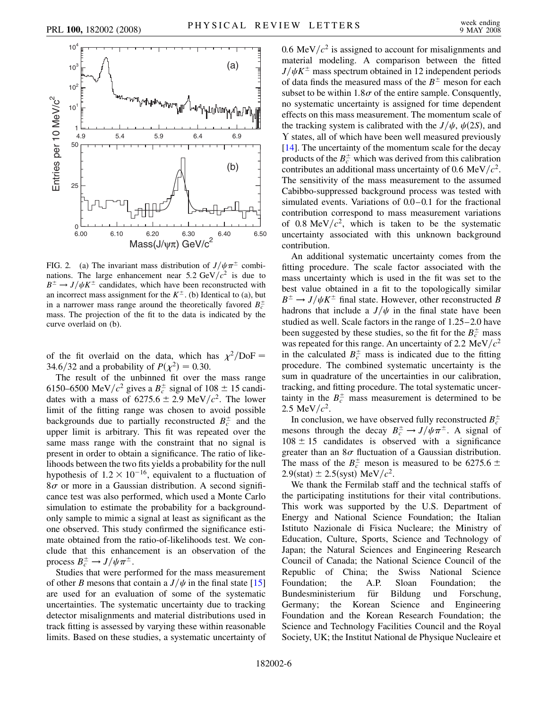<span id="page-5-0"></span>

<span id="page-5-1"></span>FIG. 2. (a) The invariant mass distribution of  $J/\psi \pi^{\pm}$  combinations. The large enhancement near  $5.2 \text{ GeV}/c^2$  is due to  $B^{\pm} \rightarrow J/\psi K^{\pm}$  candidates, which have been reconstructed with an incorrect mass assignment for the  $K^{\pm}$ . (b) Identical to (a), but in a narrower mass range around the theoretically favored  $B_c^{\pm}$ mass. The projection of the fit to the data is indicated by the curve overlaid on (b).

of the fit overlaid on the data, which has  $\chi^2/\text{DoF} =$ 34.6/32 and a probability of  $P(\chi^2) = 0.30$ .

The result of the unbinned fit over the mass range 6150–6500 MeV/ $c^2$  gives a  $B_c^{\pm}$  signal of 108  $\pm$  15 candidates with a mass of  $6275.6 \pm 2.9 \text{ MeV}/c^2$ . The lower limit of the fitting range was chosen to avoid possible backgrounds due to partially reconstructed  $B_c^{\pm}$  and the upper limit is arbitrary. This fit was repeated over the same mass range with the constraint that no signal is present in order to obtain a significance. The ratio of likelihoods between the two fits yields a probability for the null hypothesis of  $1.2 \times 10^{-16}$ , equivalent to a fluctuation of  $8\sigma$  or more in a Gaussian distribution. A second significance test was also performed, which used a Monte Carlo simulation to estimate the probability for a backgroundonly sample to mimic a signal at least as significant as the one observed. This study confirmed the significance estimate obtained from the ratio-of-likelihoods test. We conclude that this enhancement is an observation of the process  $B_c^{\pm} \to J/\psi \pi^{\pm}$ .

Studies that were performed for the mass measurement of other *B* mesons that contain a  $J/\psi$  in the final state [\[15\]](#page-6-32) are used for an evaluation of some of the systematic uncertainties. The systematic uncertainty due to tracking detector misalignments and material distributions used in track fitting is assessed by varying these within reasonable limits. Based on these studies, a systematic uncertainty of 0.6 MeV/ $c<sup>2</sup>$  is assigned to account for misalignments and material modeling. A comparison between the fitted  $J/\psi K^{\pm}$  mass spectrum obtained in 12 independent periods of data finds the measured mass of the  $B^{\pm}$  meson for each subset to be within  $1.8\sigma$  of the entire sample. Consquently, no systematic uncertainty is assigned for time dependent effects on this mass measurement. The momentum scale of the tracking system is calibrated with the  $J/\psi$ ,  $\psi(2S)$ , and Y states, all of which have been well measured previously [\[14\]](#page-6-31). The uncertainty of the momentum scale for the decay products of the  $B_c^{\pm}$  which was derived from this calibration contributes an additional mass uncertainty of 0.6 MeV/ $c^2$ . The sensitivity of the mass measurement to the assumed Cabibbo-suppressed background process was tested with simulated events. Variations of 0.0–0.1 for the fractional contribution correspond to mass measurement variations of 0.8 MeV $/c^2$ , which is taken to be the systematic uncertainty associated with this unknown background contribution.

An additional systematic uncertainty comes from the fitting procedure. The scale factor associated with the mass uncertainty which is used in the fit was set to the best value obtained in a fit to the topologically similar  $B^{\pm} \rightarrow J/\psi K^{\pm}$  final state. However, other reconstructed *B* hadrons that include a  $J/\psi$  in the final state have been studied as well. Scale factors in the range of 1.25–2.0 have been suggested by these studies, so the fit for the  $B_c^{\pm}$  mass was repeated for this range. An uncertainty of 2.2 MeV $/c<sup>2</sup>$ in the calculated  $B_c^{\pm}$  mass is indicated due to the fitting procedure. The combined systematic uncertainty is the sum in quadrature of the uncertainties in our calibration, tracking, and fitting procedure. The total systematic uncertainty in the  $B_c^{\pm}$  mass measurement is determined to be 2.5 MeV/ $c^2$ .

In conclusion, we have observed fully reconstructed  $B_c^{\pm}$ mesons through the decay  $B_c^{\pm} \rightarrow J/\psi \pi^{\pm}$ . A signal of  $108 \pm 15$  candidates is observed with a significance greater than an  $8\sigma$  fluctuation of a Gaussian distribution. The mass of the  $B_c^{\pm}$  meson is measured to be 6275.6  $\pm$  $2.9$ (stat)  $\pm 2.5$ (syst) MeV/ $c^2$ .

We thank the Fermilab staff and the technical staffs of the participating institutions for their vital contributions. This work was supported by the U.S. Department of Energy and National Science Foundation; the Italian Istituto Nazionale di Fisica Nucleare; the Ministry of Education, Culture, Sports, Science and Technology of Japan; the Natural Sciences and Engineering Research Council of Canada; the National Science Council of the Republic of China; the Swiss National Science Foundation; the A.P. Sloan Foundation; the Bundesministerium für Bildung und Forschung, Germany; the Korean Science and Engineering Foundation and the Korean Research Foundation; the Science and Technology Facilities Council and the Royal Society, UK; the Institut National de Physique Nucleaire et